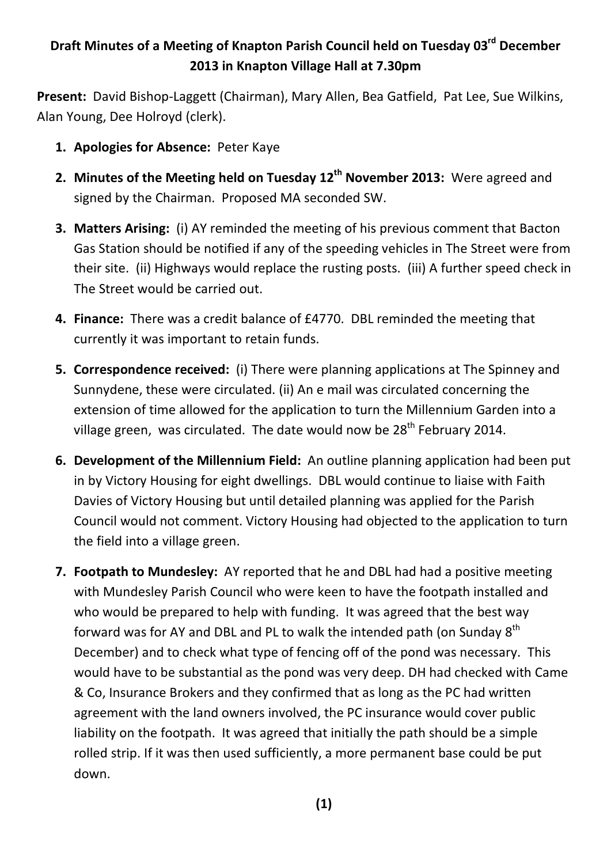## **Draft Minutes of a Meeting of Knapton Parish Council held on Tuesday 03rd December 2013 in Knapton Village Hall at 7.30pm**

**Present:** David Bishop-Laggett (Chairman), Mary Allen, Bea Gatfield, Pat Lee, Sue Wilkins, Alan Young, Dee Holroyd (clerk).

- **1. Apologies for Absence:** Peter Kaye
- 2. Minutes of the Meeting held on Tuesday 12<sup>th</sup> November 2013: Were agreed and signed by the Chairman. Proposed MA seconded SW.
- **3. Matters Arising:** (i) AY reminded the meeting of his previous comment that Bacton Gas Station should be notified if any of the speeding vehicles in The Street were from their site. (ii) Highways would replace the rusting posts. (iii) A further speed check in The Street would be carried out.
- **4. Finance:** There was a credit balance of £4770. DBL reminded the meeting that currently it was important to retain funds.
- **5. Correspondence received:** (i) There were planning applications at The Spinney and Sunnydene, these were circulated. (ii) An e mail was circulated concerning the extension of time allowed for the application to turn the Millennium Garden into a village green, was circulated. The date would now be 28<sup>th</sup> February 2014.
- **6. Development of the Millennium Field:** An outline planning application had been put in by Victory Housing for eight dwellings. DBL would continue to liaise with Faith Davies of Victory Housing but until detailed planning was applied for the Parish Council would not comment. Victory Housing had objected to the application to turn the field into a village green.
- **7. Footpath to Mundesley:** AY reported that he and DBL had had a positive meeting with Mundesley Parish Council who were keen to have the footpath installed and who would be prepared to help with funding. It was agreed that the best way forward was for AY and DBL and PL to walk the intended path (on Sunday 8<sup>th</sup> December) and to check what type of fencing off of the pond was necessary. This would have to be substantial as the pond was very deep. DH had checked with Came & Co, Insurance Brokers and they confirmed that as long as the PC had written agreement with the land owners involved, the PC insurance would cover public liability on the footpath. It was agreed that initially the path should be a simple rolled strip. If it was then used sufficiently, a more permanent base could be put down.